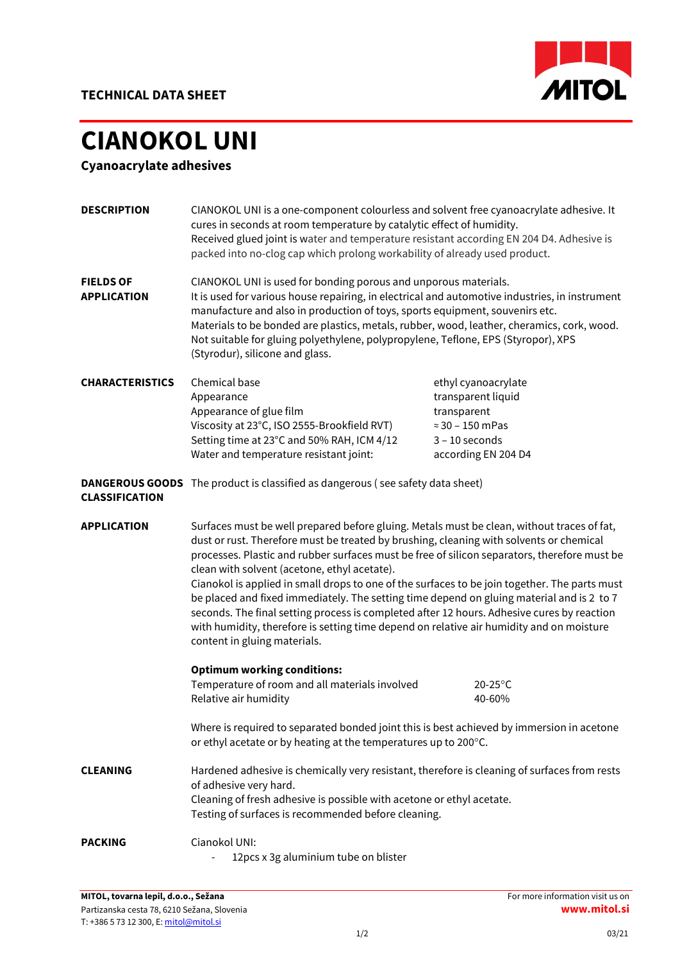

## CIANOKOL UNI

Cyanoacrylate adhesives

| <b>DESCRIPTION</b><br><b>FIELDS OF</b><br><b>APPLICATION</b> | CIANOKOL UNI is a one-component colourless and solvent free cyanoacrylate adhesive. It<br>cures in seconds at room temperature by catalytic effect of humidity.<br>Received glued joint is water and temperature resistant according EN 204 D4. Adhesive is<br>packed into no-clog cap which prolong workability of already used product.<br>CIANOKOL UNI is used for bonding porous and unporous materials.<br>It is used for various house repairing, in electrical and automotive industries, in instrument<br>manufacture and also in production of toys, sports equipment, souvenirs etc.<br>Materials to be bonded are plastics, metals, rubber, wood, leather, cheramics, cork, wood.<br>Not suitable for gluing polyethylene, polypropylene, Teflone, EPS (Styropor), XPS<br>(Styrodur), silicone and glass. |                                                                                                                                |
|--------------------------------------------------------------|----------------------------------------------------------------------------------------------------------------------------------------------------------------------------------------------------------------------------------------------------------------------------------------------------------------------------------------------------------------------------------------------------------------------------------------------------------------------------------------------------------------------------------------------------------------------------------------------------------------------------------------------------------------------------------------------------------------------------------------------------------------------------------------------------------------------|--------------------------------------------------------------------------------------------------------------------------------|
| <b>CHARACTERISTICS</b>                                       | Chemical base<br>Appearance<br>Appearance of glue film<br>Viscosity at 23°C, ISO 2555-Brookfield RVT)<br>Setting time at 23°C and 50% RAH, ICM 4/12<br>Water and temperature resistant joint:                                                                                                                                                                                                                                                                                                                                                                                                                                                                                                                                                                                                                        | ethyl cyanoacrylate<br>transparent liquid<br>transparent<br>$\approx$ 30 - 150 mPas<br>$3 - 10$ seconds<br>according EN 204 D4 |
| <b>DANGEROUS GOODS</b><br><b>CLASSIFICATION</b>              | The product is classified as dangerous (see safety data sheet)                                                                                                                                                                                                                                                                                                                                                                                                                                                                                                                                                                                                                                                                                                                                                       |                                                                                                                                |
| <b>APPLICATION</b>                                           | Surfaces must be well prepared before gluing. Metals must be clean, without traces of fat,<br>dust or rust. Therefore must be treated by brushing, cleaning with solvents or chemical<br>processes. Plastic and rubber surfaces must be free of silicon separators, therefore must be<br>clean with solvent (acetone, ethyl acetate).<br>Cianokol is applied in small drops to one of the surfaces to be join together. The parts must<br>be placed and fixed immediately. The setting time depend on gluing material and is 2 to 7<br>seconds. The final setting process is completed after 12 hours. Adhesive cures by reaction<br>with humidity, therefore is setting time depend on relative air humidity and on moisture<br>content in gluing materials.                                                        |                                                                                                                                |
|                                                              | <b>Optimum working conditions:</b><br>Temperature of room and all materials involved<br>Relative air humidity                                                                                                                                                                                                                                                                                                                                                                                                                                                                                                                                                                                                                                                                                                        | $20-25$ °C<br>40-60%                                                                                                           |
|                                                              | Where is required to separated bonded joint this is best achieved by immersion in acetone<br>or ethyl acetate or by heating at the temperatures up to 200°C.                                                                                                                                                                                                                                                                                                                                                                                                                                                                                                                                                                                                                                                         |                                                                                                                                |
| <b>CLEANING</b>                                              | Hardened adhesive is chemically very resistant, therefore is cleaning of surfaces from rests<br>of adhesive very hard.<br>Cleaning of fresh adhesive is possible with acetone or ethyl acetate.<br>Testing of surfaces is recommended before cleaning.                                                                                                                                                                                                                                                                                                                                                                                                                                                                                                                                                               |                                                                                                                                |
| <b>PACKING</b>                                               | Cianokol UNI:<br>12pcs x 3g aluminium tube on blister                                                                                                                                                                                                                                                                                                                                                                                                                                                                                                                                                                                                                                                                                                                                                                |                                                                                                                                |